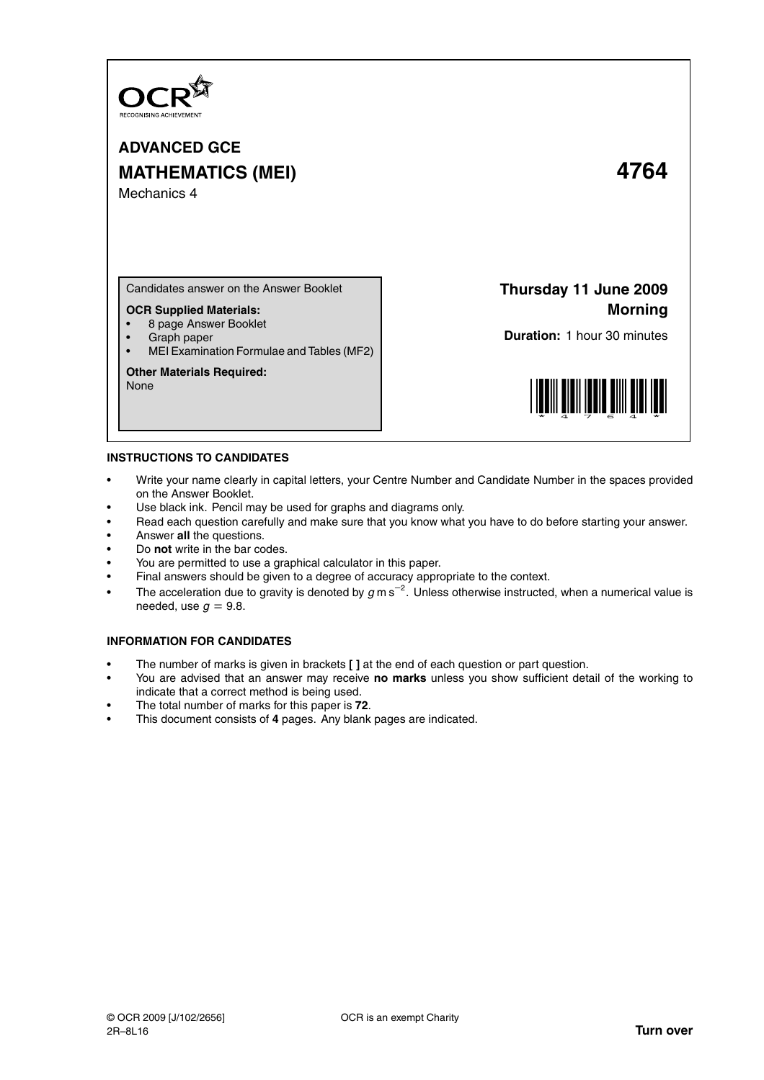

# **ADVANCED GCE MATHEMATICS (MEI) 4764** Mechanics 4

Candidates answer on the Answer Booklet

### **OCR Supplied Materials:**

- 8 page Answer Booklet
- Graph paper
- MEI Examination Formulae and Tables (MF2)

#### **Other Materials Required:**

None

## **Thursday 11 June 2009 Morning**

**Duration:** 1 hour 30 minutes



#### **INSTRUCTIONS TO CANDIDATES**

- Write your name clearly in capital letters, your Centre Number and Candidate Number in the spaces provided on the Answer Booklet.
- Use black ink. Pencil may be used for graphs and diagrams only.
- Read each question carefully and make sure that you know what you have to do before starting your answer.
- Answer **all** the questions.
- Do **not** write in the bar codes.
- You are permitted to use a graphical calculator in this paper.
- Final answers should be given to a degree of accuracy appropriate to the context.
- The acceleration due to gravity is denoted by  $g$  m s<sup>-2</sup>. Unless otherwise instructed, when a numerical value is needed, use  $q = 9.8$ .

### **INFORMATION FOR CANDIDATES**

- The number of marks is given in brackets **[ ]** at the end of each question or part question.
- You are advised that an answer may receive **no marks** unless you show sufficient detail of the working to indicate that a correct method is being used.
- The total number of marks for this paper is **72**.
- This document consists of **4** pages. Any blank pages are indicated.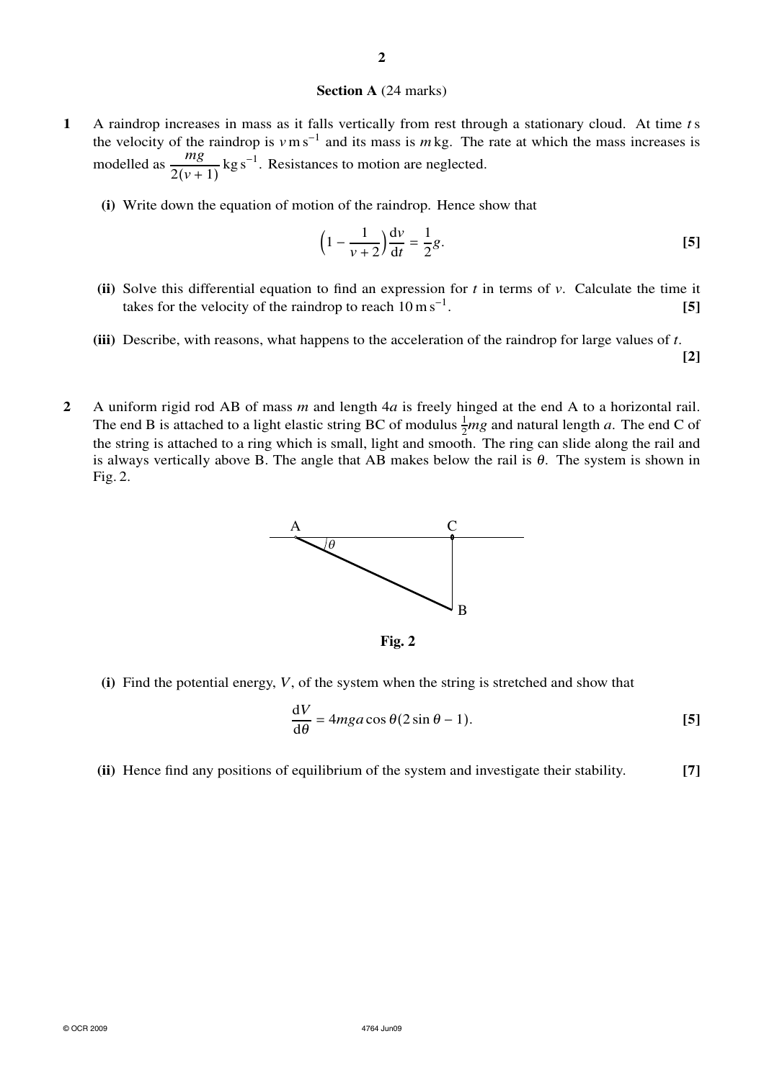### **Section A** (24 marks)

- **1** A raindrop increases in mass as it falls vertically from rest through a stationary cloud. At time *t*s the velocity of the raindrop is  $v \text{ m s}^{-1}$  and its mass is  $m \text{ kg}$ . The rate at which the mass increases is modelled as  $\frac{mg}{2(v+1)}$  kg s<sup>-1</sup>. Resistances to motion are neglected.
	- **(i)** Write down the equation of motion of the raindrop. Hence show that

$$
\left(1 - \frac{1}{\nu + 2}\right) \frac{\mathrm{d}\nu}{\mathrm{d}t} = \frac{1}{2}g.
$$
 [5]

- **(ii)** Solve this differential equation to find an expression for *t* in terms of *v*. Calculate the time it takes for the velocity of the raindrop to reach  $10 \text{ m s}^{-1}$ . . **[5]**
- **(iii)** Describe, with reasons, what happens to the acceleration of the raindrop for large values of *t*. **[2]**
- **2** A uniform rigid rod AB of mass *m* and length 4*a* is freely hinged at the end A to a horizontal rail. The end B is attached to a light elastic string BC of modulus  $\frac{1}{2}mg$  and natural length *a*. The end C of the string is attached to a ring which is small, light and smooth. The ring can slide along the rail and is always vertically above B. The angle that AB makes below the rail is  $\theta$ . The system is shown in Fig. 2.



**Fig. 2**

**(i)** Find the potential energy, *V*, of the system when the string is stretched and show that

$$
\frac{\mathrm{d}V}{\mathrm{d}\theta} = 4mg a \cos \theta (2 \sin \theta - 1). \tag{5}
$$

**(ii)** Hence find any positions of equilibrium of the system and investigate their stability. **[7]**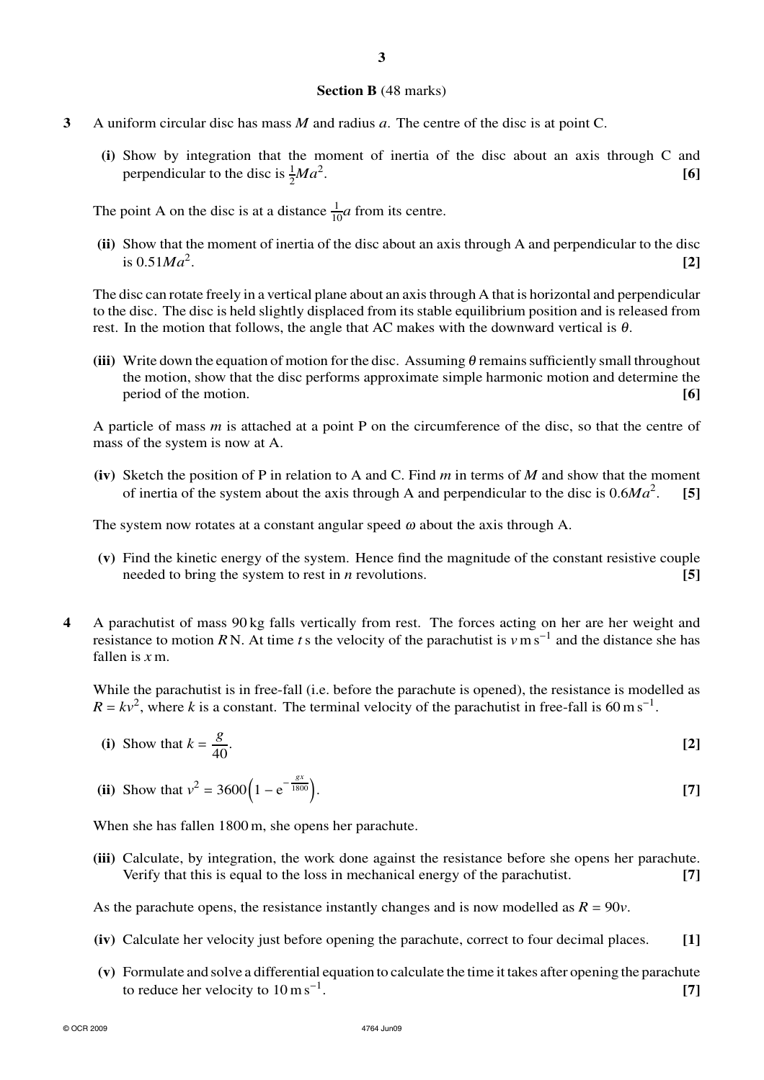### **Section B** (48 marks)

- **3** A uniform circular disc has mass *M* and radius *a*. The centre of the disc is at point C.
	- **(i)** Show by integration that the moment of inertia of the disc about an axis through C and perpendicular to the disc is  $\frac{1}{2}Ma^2$ . **[6]**

The point A on the disc is at a distance  $\frac{1}{10}a$  from its centre.

**(ii)** Show that the moment of inertia of the disc about an axis through A and perpendicular to the disc is  $0.51Ma^2$ . . **[2]**

The disc can rotate freely in a vertical plane about an axis through A that is horizontal and perpendicular to the disc. The disc is held slightly displaced from its stable equilibrium position and is released from rest. In the motion that follows, the angle that AC makes with the downward vertical is  $\theta$ .

**(iii)** Write down the equation of motion for the disc. Assuming  $\theta$  remains sufficiently small throughout the motion, show that the disc performs approximate simple harmonic motion and determine the period of the motion. **[6]**

A particle of mass *m* is attached at a point P on the circumference of the disc, so that the centre of mass of the system is now at A.

**(iv)** Sketch the position of P in relation to A and C. Find *m* in terms of *M* and show that the moment of inertia of the system about the axis through A and perpendicular to the disc is  $0.6Ma^2$ . . **[5]**

The system now rotates at a constant angular speed  $\omega$  about the axis through A.

- **(v)** Find the kinetic energy of the system. Hence find the magnitude of the constant resistive couple needed to bring the system to rest in *n* revolutions. **[5]**
- **4** A parachutist of mass 90 kg falls vertically from rest. The forces acting on her are her weight and resistance to motion *R* N. At time *t*s the velocity of the parachutist is *v*m s<sup>−</sup><sup>1</sup> and the distance she has fallen is *x* m.

While the parachutist is in free-fall (i.e. before the parachute is opened), the resistance is modelled as  $R = kv^2$ , where *k* is a constant. The terminal velocity of the parachutist in free-fall is 60 m s<sup>-1</sup>.

(i) Show that 
$$
k = \frac{g}{40}
$$
. [2]

(ii) Show that 
$$
v^2 = 3600 \left( 1 - e^{-\frac{gx}{1800}} \right)
$$
.

When she has fallen 1800 m, she opens her parachute.

**(iii)** Calculate, by integration, the work done against the resistance before she opens her parachute. Verify that this is equal to the loss in mechanical energy of the parachutist. **[7]**

As the parachute opens, the resistance instantly changes and is now modelled as  $R = 90v$ .

- **(iv)** Calculate her velocity just before opening the parachute, correct to four decimal places. **[1]**
- **(v)** Formulate and solve a differential equation to calculate the time it takes after opening the parachute to reduce her velocity to  $10 \text{ m s}^{-1}$ . . **[7]**